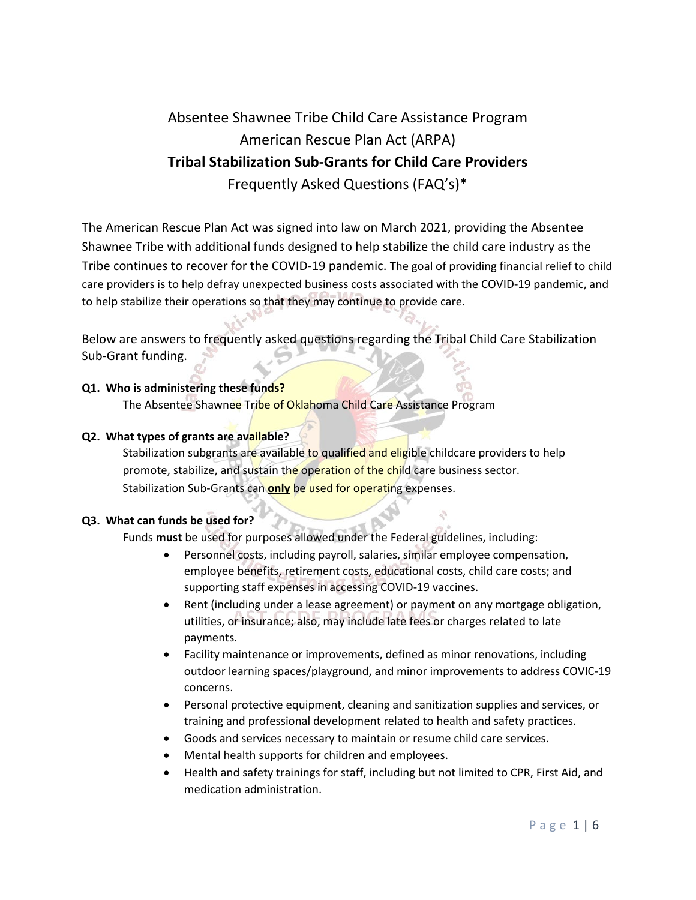# Absentee Shawnee Tribe Child Care Assistance Program American Rescue Plan Act (ARPA) **Tribal Stabilization Sub-Grants for Child Care Providers** Frequently Asked Questions (FAQ's)\*

The American Rescue Plan Act was signed into law on March 2021, providing the Absentee Shawnee Tribe with additional funds designed to help stabilize the child care industry as the Tribe continues to recover for the COVID-19 pandemic. The goal of providing financial relief to child care providers is to help defray unexpected business costs associated with the COVID-19 pandemic, and to help stabilize their operations so that they may continue to provide care.

Below are answers to frequently asked questions regarding the Tribal Child Care Stabilization Sub-Grant funding.

## **Q1. Who is administering these funds?**

The Absentee Shawnee Tribe of Oklahoma Child Care Assistance Program

## **Q2. What types of grants are available?**

Stabilization subgrants are available to qualified and eligible childcare providers to help promote, stabilize, and sustain the operation of the child care business sector. Stabilization Sub-Grants can **only** be used for operating expenses.

## **Q3. What can funds be used for?**

Funds **must** be used for purposes allowed under the Federal guidelines, including:

- Personnel costs, including payroll, salaries, similar employee compensation, employee benefits, retirement costs, educational costs, child care costs; and supporting staff expenses in accessing COVID-19 vaccines.
- Rent (including under a lease agreement) or payment on any mortgage obligation, utilities, or insurance; also, may include late fees or charges related to late payments.
- Facility maintenance or improvements, defined as minor renovations, including outdoor learning spaces/playground, and minor improvements to address COVIC-19 concerns.
- Personal protective equipment, cleaning and sanitization supplies and services, or training and professional development related to health and safety practices.
- Goods and services necessary to maintain or resume child care services.
- Mental health supports for children and employees.
- Health and safety trainings for staff, including but not limited to CPR, First Aid, and medication administration.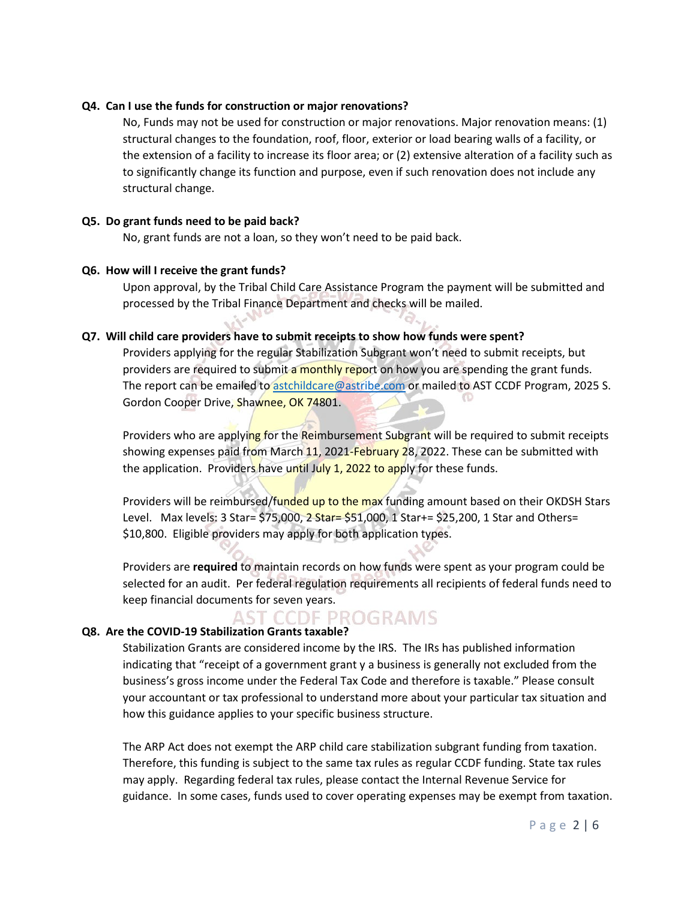#### **Q4. Can I use the funds for construction or major renovations?**

No, Funds may not be used for construction or major renovations. Major renovation means: (1) structural changes to the foundation, roof, floor, exterior or load bearing walls of a facility, or the extension of a facility to increase its floor area; or (2) extensive alteration of a facility such as to significantly change its function and purpose, even if such renovation does not include any structural change.

#### **Q5. Do grant funds need to be paid back?**

No, grant funds are not a loan, so they won't need to be paid back.

### **Q6. How will I receive the grant funds?**

Upon approval, by the Tribal Child Care Assistance Program the payment will be submitted and processed by the Tribal Finance Department and checks will be mailed.

### **Q7. Will child care providers have to submit receipts to show how funds were spent?**

Providers applying for the regular Stabilization Subgrant won't need to submit receipts, but providers are required to submit a monthly report on how you are spending the grant funds. The report can be emailed to [astchildcare@astribe.com](mailto:astchildcare@astribe.com) or mailed to AST CCDF Program, 2025 S. Gordon Cooper Drive, Shawnee, OK 74801.

Providers who are applying for the Reimbursement Subgrant will be required to submit receipts showing expenses paid from March 11, 2021-February 28, 2022. These can be submitted with the application. Providers have until July 1, 2022 to apply for these funds.

Providers will be reimbursed/funded up to the max funding amount based on their OKDSH Stars Level. Max levels: 3 Star= \$75,000, 2 Star= \$51,000, 1 Star+= \$25,200, 1 Star and Others= \$10,800. Eligible providers may apply for both application types.

Providers are **required** to maintain records on how funds were spent as your program could be selected for an audit. Per federal regulation requirements all recipients of federal funds need to keep financial documents for seven years.

# AST CCDF PROGRAMS

## **Q8. Are the COVID-19 Stabilization Grants taxable?**

Stabilization Grants are considered income by the IRS. The IRs has published information indicating that "receipt of a government grant y a business is generally not excluded from the business's gross income under the Federal Tax Code and therefore is taxable." Please consult your accountant or tax professional to understand more about your particular tax situation and how this guidance applies to your specific business structure.

The ARP Act does not exempt the ARP child care stabilization subgrant funding from taxation. Therefore, this funding is subject to the same tax rules as regular CCDF funding. State tax rules may apply. Regarding federal tax rules, please contact the Internal Revenue Service for guidance. In some cases, funds used to cover operating expenses may be exempt from taxation.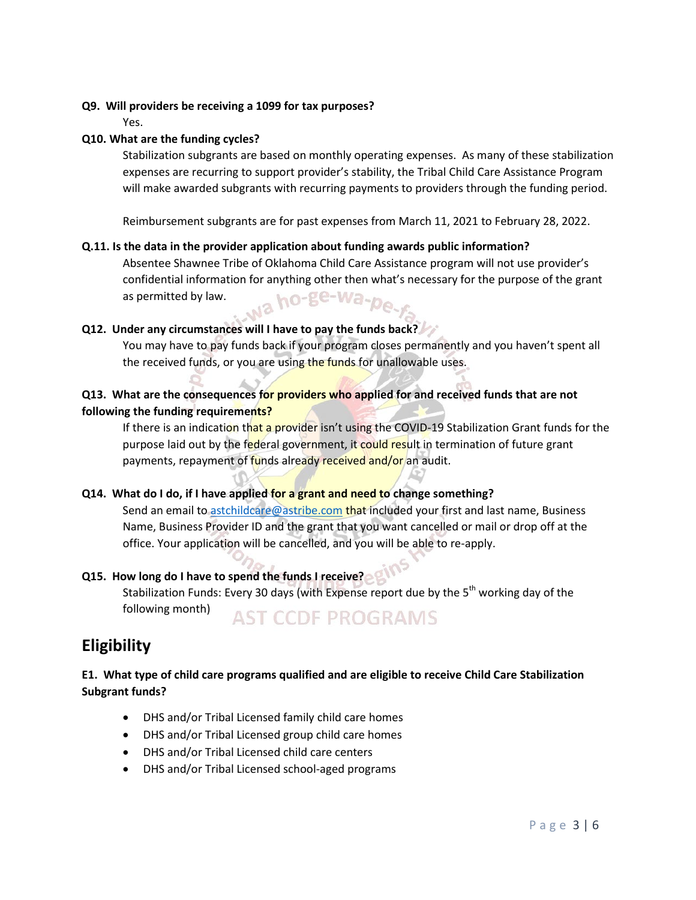## **Q9. Will providers be receiving a 1099 for tax purposes?**

Yes.

## **Q10. What are the funding cycles?**

Stabilization subgrants are based on monthly operating expenses. As many of these stabilization expenses are recurring to support provider's stability, the Tribal Child Care Assistance Program will make awarded subgrants with recurring payments to providers through the funding period.

Reimbursement subgrants are for past expenses from March 11, 2021 to February 28, 2022.

## **Q.11. Is the data in the provider application about funding awards public information?**

Absentee Shawnee Tribe of Oklahoma Child Care Assistance program will not use provider's confidential information for anything other then what's necessary for the purpose of the grant wa ho-ge-wa-peas permitted by law.

## **Q12. Under any circumstances will I have to pay the funds back?**

You may have to pay funds back if your program closes permanently and you haven't spent all the received funds, or you are using the funds for unallowable uses.

# **Q13. What are the consequences for providers who applied for and received funds that are not following the funding requirements?**

If there is an indication that a provider isn't using the COVID-19 Stabilization Grant funds for the purpose laid out by the federal government, it could result in termination of future grant payments, repayment of funds already received and/or an audit.

## **Q14. What do I do, if I have applied for a grant and need to change something?**

Send an email to [astchildcare@astribe.com](mailto:astchildcare@astribe.com) that included your first and last name, Business Name, Business Provider ID and the grant that you want cancelled or mail or drop off at the office. Your application will be cancelled, and you will be able to re-apply.

# **Q15. How long do I have to spend the funds I receive?**

Stabilization Funds: Every 30 days (with Expense report due by the 5<sup>th</sup> working day of the following month)

# **AST CCDE PROGRAMS**

# **Eligibility**

# **E1. What type of child care programs qualified and are eligible to receive Child Care Stabilization Subgrant funds?**

- DHS and/or Tribal Licensed family child care homes
- DHS and/or Tribal Licensed group child care homes
- DHS and/or Tribal Licensed child care centers
- DHS and/or Tribal Licensed school-aged programs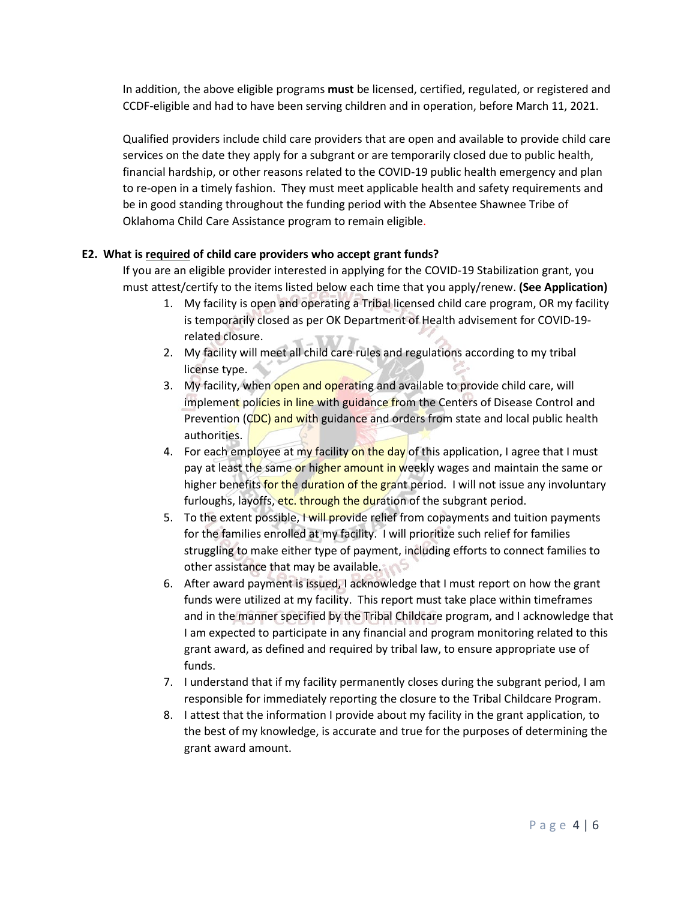In addition, the above eligible programs **must** be licensed, certified, regulated, or registered and CCDF-eligible and had to have been serving children and in operation, before March 11, 2021.

Qualified providers include child care providers that are open and available to provide child care services on the date they apply for a subgrant or are temporarily closed due to public health, financial hardship, or other reasons related to the COVID-19 public health emergency and plan to re-open in a timely fashion. They must meet applicable health and safety requirements and be in good standing throughout the funding period with the Absentee Shawnee Tribe of Oklahoma Child Care Assistance program to remain eligible.

## **E2. What is required of child care providers who accept grant funds?**

If you are an eligible provider interested in applying for the COVID-19 Stabilization grant, you must attest/certify to the items listed below each time that you apply/renew. **(See Application)**

- 1. My facility is open and operating a Tribal licensed child care program, OR my facility is temporarily closed as per OK Department of Health advisement for COVID-19 related closure.
- 2. My facility will meet all child care rules and regulations according to my tribal license type.
- 3. My facility, when open and operating and available to provide child care, will implement policies in line with guidance from the Centers of Disease Control and Prevention (CDC) and with guidance and orders from state and local public health authorities.
- 4. For each employee at my facility on the day of this application, I agree that I must pay at least the same or higher amount in weekly wages and maintain the same or higher benefits for the duration of the grant period. I will not issue any involuntary furloughs, layoffs, etc. through the duration of the subgrant period.
- 5. To the extent possible, I will provide relief from copayments and tuition payments for the families enrolled at my facility. I will prioritize such relief for families struggling to make either type of payment, including efforts to connect families to other assistance that may be available.
- 6. After award payment is issued, I acknowledge that I must report on how the grant funds were utilized at my facility. This report must take place within timeframes and in the manner specified by the Tribal Childcare program, and I acknowledge that I am expected to participate in any financial and program monitoring related to this grant award, as defined and required by tribal law, to ensure appropriate use of funds.
- 7. I understand that if my facility permanently closes during the subgrant period, I am responsible for immediately reporting the closure to the Tribal Childcare Program.
- 8. I attest that the information I provide about my facility in the grant application, to the best of my knowledge, is accurate and true for the purposes of determining the grant award amount.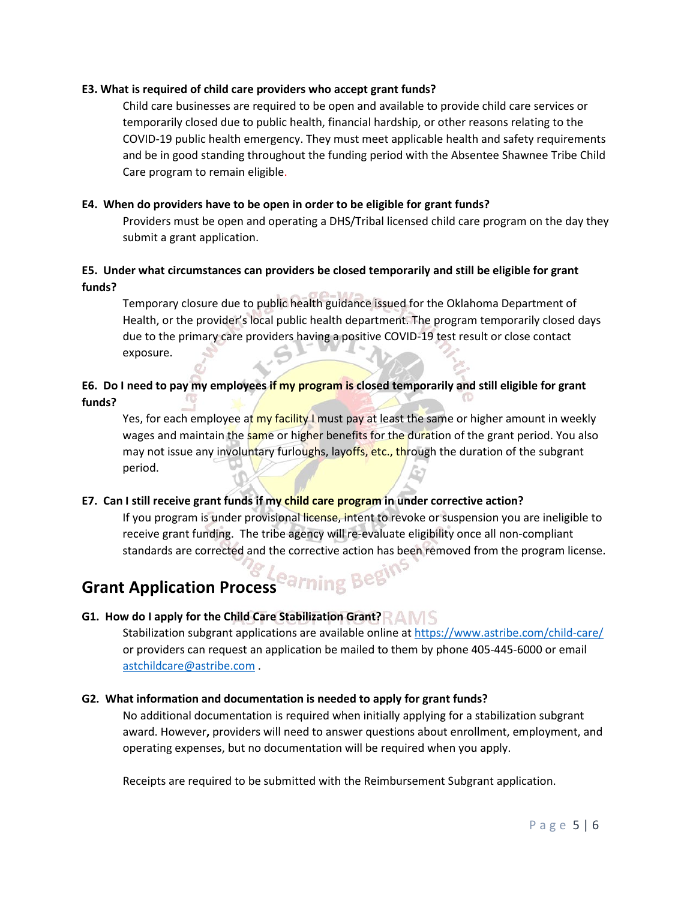### **E3. What is required of child care providers who accept grant funds?**

Child care businesses are required to be open and available to provide child care services or temporarily closed due to public health, financial hardship, or other reasons relating to the COVID-19 public health emergency. They must meet applicable health and safety requirements and be in good standing throughout the funding period with the Absentee Shawnee Tribe Child Care program to remain eligible.

## **E4. When do providers have to be open in order to be eligible for grant funds?**

Providers must be open and operating a DHS/Tribal licensed child care program on the day they submit a grant application.

## **E5. Under what circumstances can providers be closed temporarily and still be eligible for grant funds?**

Temporary closure due to public health guidance issued for the Oklahoma Department of Health, or the provider's local public health department. The program temporarily closed days due to the primary care providers having a positive COVID-19 test result or close contact exposure.

# **E6. Do I need to pay my employees if my program is closed temporarily and still eligible for grant funds?**

Yes, for each employee at my facility I must pay at least the same or higher amount in weekly wages and maintain the same or higher benefits for the duration of the grant period. You also may not issue any involuntary furloughs, layoffs, etc., through the duration of the subgrant period.

## **E7. Can I still receive grant funds if my child care program in under corrective action?**

If you program is under provisional license, intent to revoke or suspension you are ineligible to receive grant funding. The tribe agency will re-evaluate eligibility once all non-compliant standards are corrected and the corrective action has been removed from the program license.

# **Grant Application Process Parning Begins**

## **G1. How do I apply for the Child Care Stabilization Grant?**

Stabilization subgrant applications are available online a[t https://www.astribe.com/child-care/](https://www.astribe.com/child-care/) or providers can request an application be mailed to them by phone 405-445-6000 or email [astchildcare@astribe.com](mailto:astchildcare@astribe.com) .

## **G2. What information and documentation is needed to apply for grant funds?**

No additional documentation is required when initially applying for a stabilization subgrant award. However**,** providers will need to answer questions about enrollment, employment, and operating expenses, but no documentation will be required when you apply.

Receipts are required to be submitted with the Reimbursement Subgrant application.